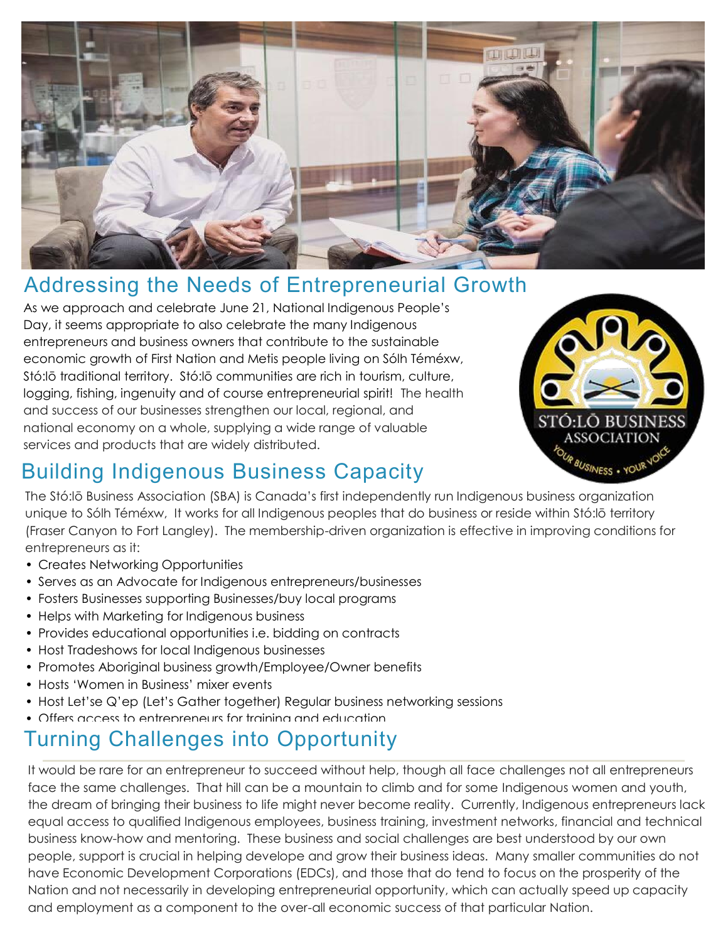

## Addressing the Needs of Entrepreneurial Growth

As we approach and celebrate June 21, National Indigenous People's Day, it seems appropriate to also celebrate the many Indigenous entrepreneurs and business owners that contribute to the sustainable economic growth of First Nation and Metis people living on Sólh Téméxw, Stó:lō traditional territory. Stó:lō communities are rich in tourism, culture, logging, fishing, ingenuity and of course entrepreneurial spirit! The health and success of our businesses strengthen our local, regional, and national economy on a whole, supplying a wide range of valuable services and products that are widely distributed.



## Building Indigenous Business Capacity

The Stó:lō Business Association (SBA) is Canada's first independently run Indigenous business organization unique to Sólh Téméxw, It works for all Indigenous peoples that do business or reside within Stó:lō territory (Fraser Canyon to Fort Langley). The membership-driven organization is effective in improving conditions for entrepreneurs as it:

- Creates Networking Opportunities
- Serves as an Advocate for Indigenous entrepreneurs/businesses
- Fosters Businesses supporting Businesses/buy local programs
- Helps with Marketing for Indigenous business
- Provides educational opportunities i.e. bidding on contracts
- Host Tradeshows for local Indigenous businesses
- Promotes Aboriginal business growth/Employee/Owner benefits
- Hosts 'Women in Business' mixer events
- Host Let'se Q'ep (Let's Gather together) Regular business networking sessions
- Offers access to entrepreneurs for training and education

#### **Turning Challenges into Opportunity**

It would be rare for an entrepreneur to succeed without help, though all face challenges not all entrepreneurs face the same challenges. That hill can be a mountain to climb and for some Indigenous women and youth, the dream of bringing their business to life might never become reality. Currently, Indigenous entrepreneurs lack equal access to qualified Indigenous employees, business training, investment networks, financial and technical business know-how and mentoring. These business and social challenges are best understood by our own people, support is crucial in helping develope and grow their business ideas. Many smaller communities do not have Economic Development Corporations (EDCs), and those that do tend to focus on the prosperity of the Nation and not necessarily in developing entrepreneurial opportunity, which can actually speed up capacity and employment as a component to the over-all economic success of that particular Nation.